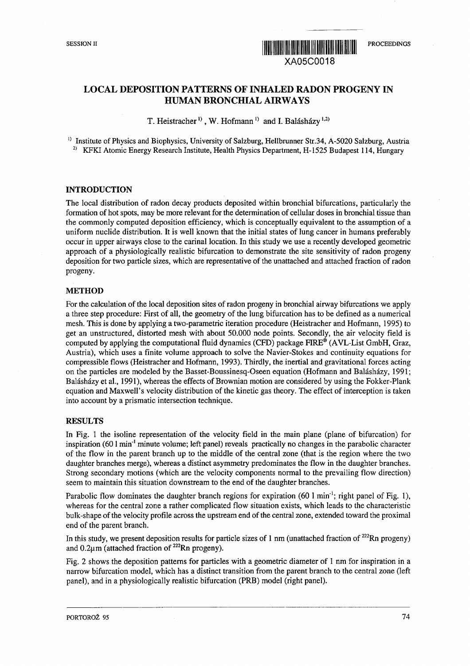

# LOCAL DEPOSITION PATTERNS OF INHALED RADON PROGENY IN HUMAN BRONCHIAL AIRWAYS

T. Heistracher<sup>1)</sup>, W. Hofmann<sup>1</sup> and I. Balásházy<sup>1,2)</sup>

<sup>1)</sup> Institute of Physics and Biophysics, University of Salzburg, Hellbrunner Str.34, A-5020 Salzburg, Austria <sup>2)</sup> KFKI Atomic Energy Research Institute, Health Physics Department, H-1525 Budapest 114, Hungary

### **INTRODUCTION**

The local distribution of radon decay products deposited within bronchial bifurcations, particularly the formation of hot spots, may be more relevant for the determination of cellular doses in bronchial tissue than the commonly computed deposition efficiency, which is conceptually equivalent to the assumption of a uniform nuclide distribution. It is well known that the initial states of lung cancer in humans preferably occur in upper airways close to the carinal location. In this study we use a recently developed geometric approach of a physiologically realistic bifurcation to demonstrate the site sensitivity of radon progeny deposition for two particle sizes, which are representative of the unattached and attached fraction of radon progeny.

#### **METHOD**

For the calculation of the local deposition sites of radon progeny in bronchial airway bifurcations we apply a three step procedure: First of all, the geometry of the lung bifurcation has to be defined as a numerical mesh. This is done by applying a two-parametric iteration procedure (Heistracher and Hofmann, 1995) to get an unstructured, distorted mesh with about 50.000 node points. Secondly, the air velocity field is computed by applying the computational fluid dynamics (CFD) package FIRE® (AVL-List GmbH, Graz, Austria), which uses a finite volume approach to solve the Navier-Stokes and continuity equations for compressible flows (Heistracher and Hofmann, 1993). Thirdly, the inertial and gravitational forces acting on the particles are modeled by the Basset-Boussinesq-Oseen equation (Hofmann and Balásházy, 1991; Balásházy et al., 1991), whereas the effects of Brownian motion are considered by using the Fokker-Plank equation and Maxwell's velocity distribution of the kinetic gas theory. The effect of interception is taken into account by a prismatic intersection technique.

### RESULTS

In Fig. 1 the isoline representation of the velocity field in the main plane (plane of bifurcation) for inspiration (60 l min<sup>-1</sup> minute volume; left panel) reveals practically no changes in the parabolic character of the flow in the parent branch up to the middle of the central zone (that is the region where the two daughter branches merge), whereas a distinct asymmetry predominates the flow in the daughter branches. Strong secondary motions (which are the velocity components normal to the prevailing flow direction) seem to maintain this situation downstream to the end of the daughter branches.

Parabolic flow dominates the daughter branch regions for expiration (60 l min<sup>-1</sup>; right panel of Fig. 1), whereas for the central zone a rather complicated flow situation exists, which leads to the characteristic bulk-shape of the velocity profile across the upstream end of the central zone, extended toward the proximal end of the parent branch.

In this study, we present deposition results for particle sizes of 1 nm (unattached fraction of  $^{222}$ Rn progeny) and 0.2µm (attached fraction of <sup>222</sup>Rn progeny).

Fig. 2 shows the deposition patterns for particles with a geometric diameter of 1 nm for inspiration in a narrow bifurcation model, which has a distinct transition from the parent branch to the central zone (left panel), and in a physiologically realistic bifurcation (PRB) model (right panel).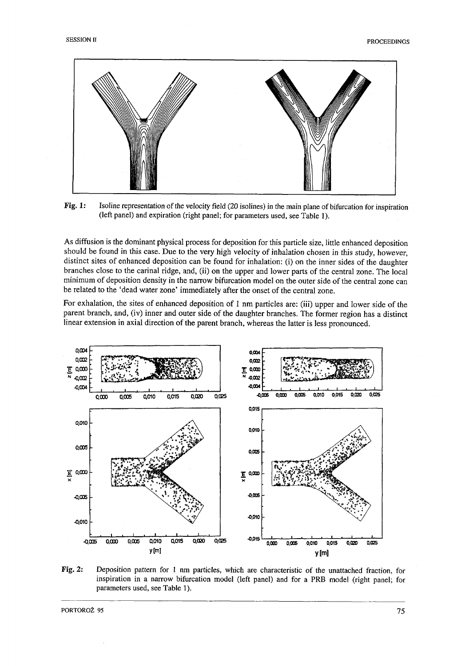



As diffusion is the dominant physical process for deposition for this particle size, little enhanced deposition should be found in this case. Due to the very high velocity of inhalation chosen in this study, however, distinct sites of enhanced deposition can be found for inhalation: (i) on the inner sides of the daughter branches close to the carinal ridge, and, (ii) on the upper and lower parts of the central zone. The local minimum of deposition density in the narrow bifurcation model on the outer side of the central zone can be related to the 'dead water zone' immediately after the onset of the central zone.

For exhalation, the sites of enhanced deposition of 1 nm particles are: (iii) upper and lower side of the parent branch, and, (iv) inner and outer side of the daughter branches. The former region has a distinct linear extension in axial direction of the parent branch, whereas the latter is less pronounced.



**Fig.** 2: Deposition pattern for 1 nm particles, which are characteristic of the unattached fraction, for inspiration in a narrow bifurcation model (left panel) and for a PRB model (right panel; for parameters used, see Table 1).